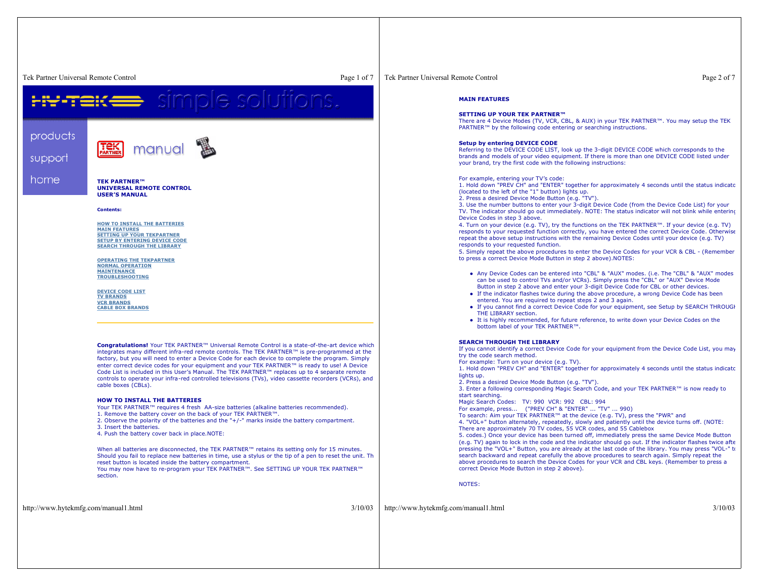Tek Partner Universal Remote Control

products

support

home

 Page 1 of 7 Tek Partner Universal Remote Controlsimple solutions. manual **TEK PARTNER™ UNIVERSAL REMOTE CONTROLUSER'S MANUALContents:HOW TO INSTALL THE BATTERIESMAIN FEATURES SETTING UP YOUR TEKPARTNER SETUP BY ENTERING DEVICE CODE SEARCH THROUGH THE LIBRARYOPERATING THE TEKPARTNERNORMAL OPERATIONMAINTENANCE TROUBLESHOOTINGDEVICE CODE LISTTV BRANDS VCR BRANDS CABLE BOX BRANDS Congratulations!** Your TEK PARTNER™ Universal Remote Control is <sup>a</sup> state-of-the-art device which integrates many different infra-red remote controls. The TEK PARTNER™ is pre-programmed at the factory, but you will need to enter <sup>a</sup> Device Code for each device to complete the program. Simply enter correct device codes for your equipment and your TEK PARTNER™ is ready to use! A Device Code List is included in this User's Manual. The TEK PARTNER™ replaces up to 4 separate remote lights up. controls to operate your infra-red controlled televisions (TVs), video cassette recorders (VCRs), and

### **HOW TO INSTALL THE BATTERIES**

Your TEK PARTNER™ requires 4 fresh AA-size batteries (alkaline batteries recommended).

1. Remove the battery cover on the back of your TEK PARTNER™.

2. Observe the polarity of the batteries and the "+/-" marks inside the battery compartment.

3. Insert the batteries.

cable boxes (CBLs).

4. Push the battery cover back in place.NOTE:

When all batteries are disconnected, the TEK PARTNER™ retains its setting only for 15 minutes. Should you fail to replace new batteries in time, use <sup>a</sup> stylus or the tip of <sup>a</sup> pen to reset the unit. Th reset button is located inside the battery compartment.

You may now have to re-program your TEK PARTNER™. See SETTING UP YOUR TEK PARTNER™ section.

Page 2 of 7

#### **MAIN FEATURES**

#### **SETTING UP YOUR TEK PARTNER™**

 There are 4 Device Modes (TV, VCR, CBL, & AUX) in your TEK PARTNER™. You may setup the TEK PARTNER™ by the following code entering or searching instructions.

#### **Setup by entering DEVICE CODE**

Referring to the DEVICE CODE LIST, look up the 3-digit DEVICE CODE which corresponds to the brands and models of your video equipment. If there is more than one DEVICE CODE listed under your brand, try the first code with the following instructions:

#### For example, entering your TV's code:

1. Hold down "PREV CH" and "ENTER" together for approximately 4 seconds until the status indicato (located to the left of the "1" button) lights up.

2. Press <sup>a</sup> desired Device Mode Button (e.g. "TV").

3. Use the number buttons to enter your 3-digit Device Code (from the Device Code List) for your TV. The indicator should go out immediately. NOTE: The status indicator will not blink while entering Device Codes in step 3 above.

4. Turn on your device (e.g. TV), try the functions on the TEK PARTNER™. If your device (e.g. TV) responds to your requested function correctly, you have entered the correct Device Code. Otherwise repeat the above setup instructions with the remaining Device Codes until your device (e.g. TV) responds to your requested function.

5. Simply repeat the above procedures to enter the Device Codes for your VCR & CBL - (Remember to press <sup>a</sup> correct Device Mode Button in step 2 above).NOTES:

- Any Device Codes can be entered into "CBL" & "AUX" modes. (i.e. The "CBL" & "AUX" modes can be used to control TVs and/or VCRs). Simply press the "CBL" or "AUX" Device Mode Button in step 2 above and enter your 3-digit Device Code for CBL or other devices.
- If the indicator flashes twice during the above procedure, a wrong Device Code has been entered. You are required to repeat steps 2 and 3 again.
- If you cannot find a correct Device Code for your equipment, see Setup by SEARCH THROUGH THE LIBRARY section.
- It is highly recommended, for future reference, to write down your Device Codes on the bottom label of your TEK PARTNER™.

#### **SEARCH THROUGH THE LIBRARY**

 If you cannot identify <sup>a</sup> correct Device Code for your equipment from the Device Code List, you may try the code search method.

For example: Turn on your device (e.g. TV).

1. Hold down "PREV CH" and "ENTER" together for approximately 4 seconds until the status indicato

2. Press <sup>a</sup> desired Device Mode Button (e.g. "TV").

3. Enter <sup>a</sup> following corresponding Magic Search Code, and your TEK PARTNER™ is now ready to start searching.

Magic Search Codes: TV: 990 VCR: 992 CBL: 994

For example, press... ("PREV CH" & "ENTER" ... "TV" ... 990)

To search: Aim your TEK PARTNER™ at the device (e.g. TV), press the "PWR" and

4. "VOL+" button alternately, repeatedly, slowly and patiently until the device turns off. (NOTE: There are approximately 70 TV codes, 55 VCR codes, and 55 Cablebox

5. codes.) Once your device has been turned off, immediately press the same Device Mode Button

(e.g. TV) again to lock in the code and the indicator should go out. If the indicator flashes twice afte pressing the "VOL+" Button, you are already at the last code of the library. You may press "VOL-" to search backward and repeat carefully the above procedures to search again. Simply repeat the above procedures to search the Device Codes for your VCR and CBL keys. (Remember to press <sup>a</sup> correct Device Mode Button in step 2 above).

NOTES:

http://www.hytekmfg.com/manual1.html 3/10/03

http://www.hytekmfg.com/manual1.html 3/10/03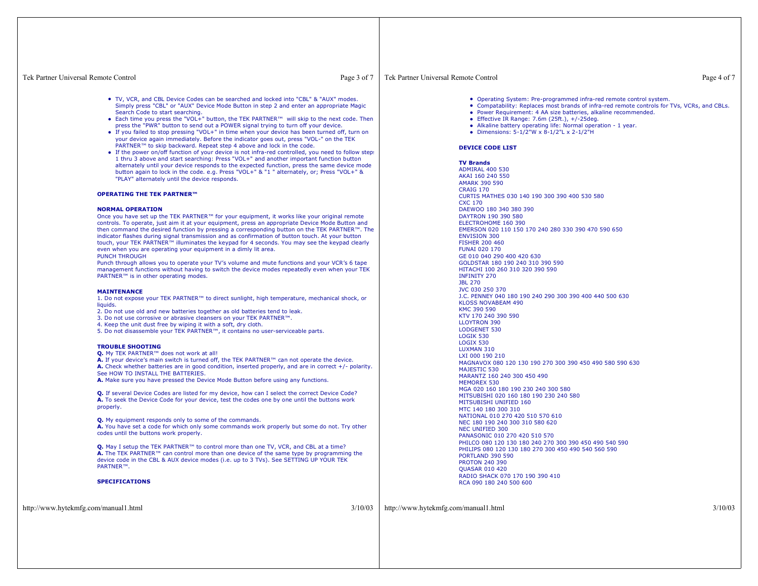## Tek Partner Universal Remote Control

Page 3 of 7

- TV, VCR, and CBL Device Codes can be searched and locked into "CBL" & "AUX" modes. Simply press "CBL" or "AUX" Device Mode Button in step 2 and enter an appropriate Magic Search Code to start searching.
- Each time you press the "VOL+" button, the TEK PARTNER™ will skip to the next code. Then press the "PWR" button to send out <sup>a</sup> POWER signal trying to turn off your device.
- If you failed to stop pressing "VOL+" in time when your device has been turned off, turn on your device again immediately. Before the indicator goes out, press "VOL-" on the TEK PARTNER™ to skip backward. Repeat step 4 above and lock in the code.
- If the power on/off function of your device is not infra-red controlled, you need to follow steps 1 thru 3 above and start searching: Press "VOL+" and another important function button alternately until your device responds to the expected function, press the same device mode button again to lock in the code. e.g. Press "VOL+" & "1 " alternately, or; Press "VOL+" & "PLAY" alternately until the device responds.

# **OPERATING THE TEK PARTNER™**

### **NORMAL OPERATION**

 Once you have set up the TEK PARTNER™ for your equipment, it works like your original remote controls. To operate, just aim it at your equipment, press an appropriate Device Mode Button and then command the desired function by pressing <sup>a</sup> corresponding button on the TEK PARTNER™. The indicator flashes during signal transmission and as confirmation of button touch. At your button touch, your TEK PARTNER™ illuminates the keypad for 4 seconds. You may see the keypad clearly even when you are operating your equipment in <sup>a</sup> dimly lit area. PUNCH THROUGH

 Punch through allows you to operate your TV's volume and mute functions and your VCR's 6 tape management functions without having to switch the device modes repeatedly even when your TEK PARTNER™ is in other operating modes.

#### **MAINTENANCE**

 1. Do not expose your TEK PARTNER™ to direct sunlight, high temperature, mechanical shock, or liquids.

- 2. Do not use old and new batteries together as old batteries tend to leak.
- 3. Do not use corrosive or abrasive cleansers on your TEK PARTNER™.
- 4. Keep the unit dust free by wiping it with <sup>a</sup> soft, dry cloth.
- 5. Do not disassemble your TEK PARTNER™, it contains no user-serviceable parts.

### **TROUBLE SHOOTING**

**Q.** My TEK PARTNER™ does not work at all!

**A.** If your device's main switch is turned off, the TEK PARTNER™ can not operate the device. **A.** Check whether batteries are in good condition, inserted properly, and are in correct +/- polarity. See HOW TO INSTALL THE BATTERIES.

**A.** Make sure you have pressed the Device Mode Button before using any functions.

**Q.** If several Device Codes are listed for my device, how can I select the correct Device Code? **A.** To seek the Device Code for your device, test the codes one by one until the buttons work properly.

**Q.** My equipment responds only to some of the commands.

**A.** You have set <sup>a</sup> code for which only some commands work properly but some do not. Try other codes until the buttons work properly.

**Q.** May I setup the TEK PARTNER™ to control more than one TV, VCR, and CBL at a time? **A.** The TEK PARTNER™ can control more than one device of the same type by programming the device code in the CBL & AUX device modes (i.e. up to 3 TVs). See SETTING UP YOUR TEK PARTNER™.

## **SPECIFICATIONS**

http://www.hytekmfg.com/manual1.html 3/10/03

# Tek Partner Universal Remote Control

- Operating System: Pre-programmed infra-red remote control system.
- Compatability: Replaces most brands of infra-red remote controls for TVs, VCRs, and CBLs.
- Power Requirement: 4 AA size batteries, alkaline recommended.
- z Effective IR Range: 7.6m (25ft.), +/-25deg.
- Alkaline battery operating life: Normal operation 1 year.
- z Dimensions: 5-1/2"W <sup>x</sup> 8-1/2"L <sup>x</sup> 2-1/2"H

# **DEVICE CODE LIST**

**TV Brands**

http://www.hytekmfg.com/manual1.html 3/10/03

Page 4 of 7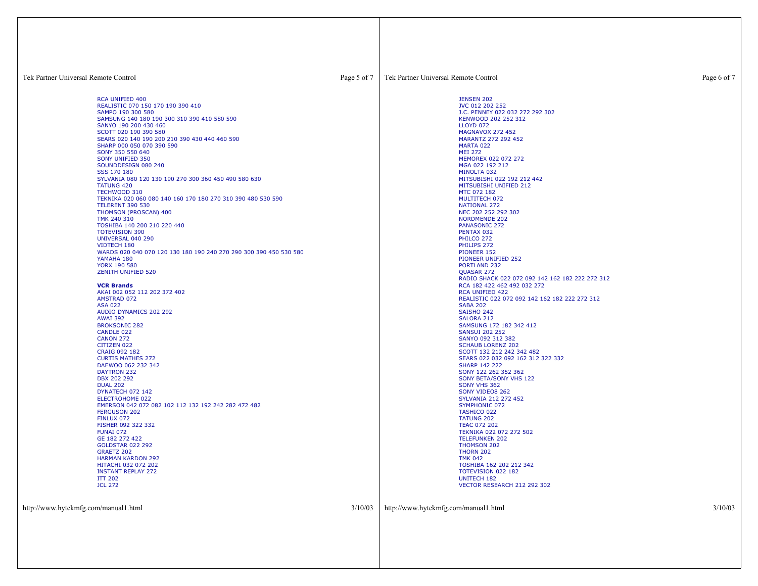| Tek Partner Universal Remote Control                                                                                                                                                                                                                                                                                                                                                                                                                                                                                                                                                                                                                                                                                                                                                                                                                                                                                                                                                                                                                                                                                                                                                                                                                                                                                                                                                                                                                                                                                             | Page 5 of 7 | Tek Partner Universal Remote Control                                                                                                                                                                                                                                                                                                                                                                                                                                                                                                                                                                                                                                                                                                                                                                                                                                                                                                                                                                                                                                                                                                                                                                                                                                                                                                                         | Page 6 of 7 |
|----------------------------------------------------------------------------------------------------------------------------------------------------------------------------------------------------------------------------------------------------------------------------------------------------------------------------------------------------------------------------------------------------------------------------------------------------------------------------------------------------------------------------------------------------------------------------------------------------------------------------------------------------------------------------------------------------------------------------------------------------------------------------------------------------------------------------------------------------------------------------------------------------------------------------------------------------------------------------------------------------------------------------------------------------------------------------------------------------------------------------------------------------------------------------------------------------------------------------------------------------------------------------------------------------------------------------------------------------------------------------------------------------------------------------------------------------------------------------------------------------------------------------------|-------------|--------------------------------------------------------------------------------------------------------------------------------------------------------------------------------------------------------------------------------------------------------------------------------------------------------------------------------------------------------------------------------------------------------------------------------------------------------------------------------------------------------------------------------------------------------------------------------------------------------------------------------------------------------------------------------------------------------------------------------------------------------------------------------------------------------------------------------------------------------------------------------------------------------------------------------------------------------------------------------------------------------------------------------------------------------------------------------------------------------------------------------------------------------------------------------------------------------------------------------------------------------------------------------------------------------------------------------------------------------------|-------------|
| RCA UNIFIED 400<br>REALISTIC 070 150 170 190 390 410<br>SAMPO 190 300 580<br>SAMSUNG 140 180 190 300 310 390 410 580 590<br>SANYO 190 200 430 460<br>SCOTT 020 190 390 580<br>SEARS 020 140 190 200 210 390 430 440 460 590<br>SHARP 000 050 070 390 590<br>SONY 350 550 640<br>SONY UNIFIED 350<br>SOUNDDESIGN 080 240<br>SSS 170 180<br>SYLVANIA 080 120 130 190 270 300 360 450 490 580 630<br><b>TATUNG 420</b><br>TECHWOOD 310<br>TEKNIKA 020 060 080 140 160 170 180 270 310 390 480 530 590<br><b>TELERENT 390 530</b><br>THOMSON (PROSCAN) 400<br>TMK 240 310<br>TOSHIBA 140 200 210 220 440<br><b>TOTEVISION 390</b><br><b>UNIVERSAL 040 290</b><br>VIDTECH 180<br>WARDS 020 040 070 120 130 180 190 240 270 290 300 390 450 530 580<br>YAMAHA 180<br><b>YORX 190 580</b><br><b>ZENITH UNIFIED 520</b><br><b>VCR Brands</b><br>AKAI 002 052 112 202 372 402<br><b>AMSTRAD 072</b><br><b>ASA 022</b><br>AUDIO DYNAMICS 202 292<br><b>AWAI 392</b><br><b>BROKSONIC 282</b><br>CANDLE 022<br><b>CANON 272</b><br>CITIZEN 022<br>CRAIG 092 182<br><b>CURTIS MATHES 272</b><br>DAEWOO 062 232 342<br><b>DAYTRON 232</b><br>DBX 202 292<br><b>DUAL 202</b><br>DYNATECH 072 142<br>ELECTROHOME 022<br>EMERSON 042 072 082 102 112 132 192 242 282 472 482<br><b>FERGUSON 202</b><br>FINLUX 072<br>FISHER 092 322 332<br><b>FUNAI 072</b><br>GE 182 272 422<br><b>GOLDSTAR 022 292</b><br><b>GRAETZ 202</b><br><b>HARMAN KARDON 292</b><br>HITACHI 032 072 202<br><b>INSTANT REPLAY 272</b><br><b>ITT 202</b><br><b>JCL 272</b> |             | <b>JENSEN 202</b><br>JVC 012 202 252<br>J.C. PENNEY 022 032 272 292 302<br>KENWOOD 202 252 312<br><b>LLOYD 072</b><br><b>MAGNAVOX 272 452</b><br>MARANTZ 272 292 452<br>MARTA 022<br><b>MEI 272</b><br>MEMOREX 022 072 272<br>MGA 022 192 212<br>MINOLTA 032<br>MITSUBISHI 022 192 212 442<br>MITSUBISHI UNIFIED 212<br>MTC 072 182<br>MULTITECH 072<br>NATIONAL 272<br>NEC 202 252 292 302<br><b>NORDMENDE 202</b><br><b>PANASONIC 272</b><br>PENTAX 032<br>PHILCO 272<br>PHILIPS 272<br>PIONEER 152<br>PIONEER UNIFIED 252<br>PORTLAND 232<br>QUASAR 272<br>RADIO SHACK 022 072 092 142 162 182 222 272 312<br>RCA 182 422 462 492 032 272<br><b>RCA UNIFIED 422</b><br>REALISTIC 022 072 092 142 162 182 222 272 312<br><b>SABA 202</b><br><b>SAISHO 242</b><br>SALORA 212<br>SAMSUNG 172 182 342 412<br><b>SANSUI 202 252</b><br>SANYO 092 312 382<br><b>SCHAUB LORENZ 202</b><br>SCOTT 132 212 242 342 482<br>SEARS 022 032 092 162 312 322 332<br><b>SHARP 142 222</b><br>SONY 122 262 352 362<br>SONY BETA/SONY VHS 122<br>SONY VHS 362<br>SONY VIDEO8 262<br>SYLVANIA 212 272 452<br>SYMPHONIC 072<br><b>TASHICO 022</b><br><b>TATUNG 202</b><br><b>TEAC 072 202</b><br>TEKNIKA 022 072 272 502<br><b>TELEFUNKEN 202</b><br>THOMSON 202<br><b>THORN 202</b><br><b>TMK 042</b><br>TOSHIBA 162 202 212 342<br>TOTEVISION 022 182<br><b>UNITECH 182</b> |             |
| http://www.hytekmfg.com/manual1.html                                                                                                                                                                                                                                                                                                                                                                                                                                                                                                                                                                                                                                                                                                                                                                                                                                                                                                                                                                                                                                                                                                                                                                                                                                                                                                                                                                                                                                                                                             | 3/10/03     | VECTOR RESEARCH 212 292 302<br>http://www.hytekmfg.com/manual1.html                                                                                                                                                                                                                                                                                                                                                                                                                                                                                                                                                                                                                                                                                                                                                                                                                                                                                                                                                                                                                                                                                                                                                                                                                                                                                          | 3/10/03     |
|                                                                                                                                                                                                                                                                                                                                                                                                                                                                                                                                                                                                                                                                                                                                                                                                                                                                                                                                                                                                                                                                                                                                                                                                                                                                                                                                                                                                                                                                                                                                  |             |                                                                                                                                                                                                                                                                                                                                                                                                                                                                                                                                                                                                                                                                                                                                                                                                                                                                                                                                                                                                                                                                                                                                                                                                                                                                                                                                                              |             |